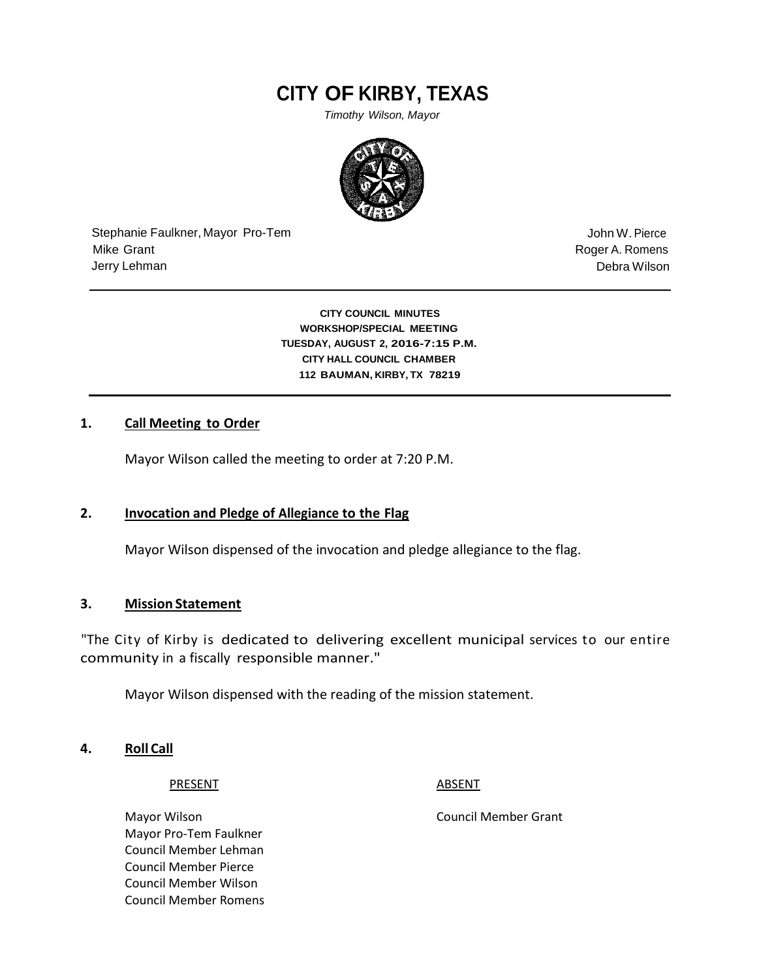# **CITY OF KIRBY, TEXAS**

*Timothy Wilson, Mayor*



Stephanie Faulkner, Mayor Pro-Tem Mike Grant Jerry Lehman

John W.Pierce Roger A. Romens Debra Wilson

**CITY COUNCIL MINUTES WORKSHOP/SPECIAL MEETING TUESDAY, AUGUST 2, 2016-7:15 P.M. CITY HALL COUNCIL CHAMBER 112 BAUMAN, KIRBY, TX 78219**

#### **1. Call Meeting to Order**

Mayor Wilson called the meeting to order at 7:20 P.M.

#### **2. Invocation and Pledge of Allegiance to the Flag**

Mayor Wilson dispensed of the invocation and pledge allegiance to the flag.

#### **3. Mission Statement**

"The City of Kirby is dedicated to delivering excellent municipal services to our entire community in a fiscally responsible manner."

Mayor Wilson dispensed with the reading of the mission statement.

#### **4. Roll Call**

PRESENT ABSENT

Mayor Wilson Council Member Grant Mayor Pro-Tem Faulkner Council Member Lehman Council Member Pierce Council Member Wilson Council Member Romens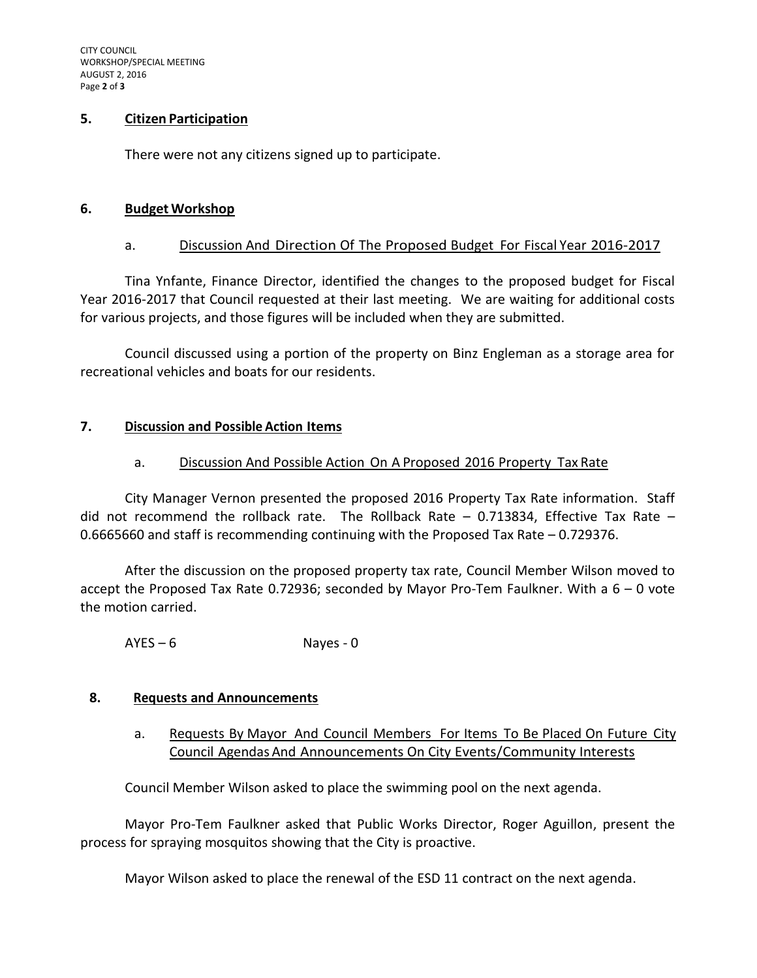#### **5. Citizen Participation**

There were not any citizens signed up to participate.

#### **6. Budget Workshop**

#### a. Discussion And Direction Of The Proposed Budget For Fiscal Year 2016-2017

Tina Ynfante, Finance Director, identified the changes to the proposed budget for Fiscal Year 2016-2017 that Council requested at their last meeting. We are waiting for additional costs for various projects, and those figures will be included when they are submitted.

Council discussed using a portion of the property on Binz Engleman as a storage area for recreational vehicles and boats for our residents.

### **7. Discussion and Possible Action Items**

### a. Discussion And Possible Action On A Proposed 2016 Property Tax Rate

City Manager Vernon presented the proposed 2016 Property Tax Rate information. Staff did not recommend the rollback rate. The Rollback Rate – 0.713834, Effective Tax Rate – 0.6665660 and staff is recommending continuing with the Proposed Tax Rate – 0.729376.

After the discussion on the proposed property tax rate, Council Member Wilson moved to accept the Proposed Tax Rate 0.72936; seconded by Mayor Pro-Tem Faulkner. With a  $6 - 0$  vote the motion carried.

AYES – 6 Nayes - 0

#### **8. Requests and Announcements**

a. Requests By Mayor And Council Members For Items To Be Placed On Future City Council Agendas And Announcements On City Events/Community Interests

Council Member Wilson asked to place the swimming pool on the next agenda.

Mayor Pro-Tem Faulkner asked that Public Works Director, Roger Aguillon, present the process for spraying mosquitos showing that the City is proactive.

Mayor Wilson asked to place the renewal of the ESD 11 contract on the next agenda.